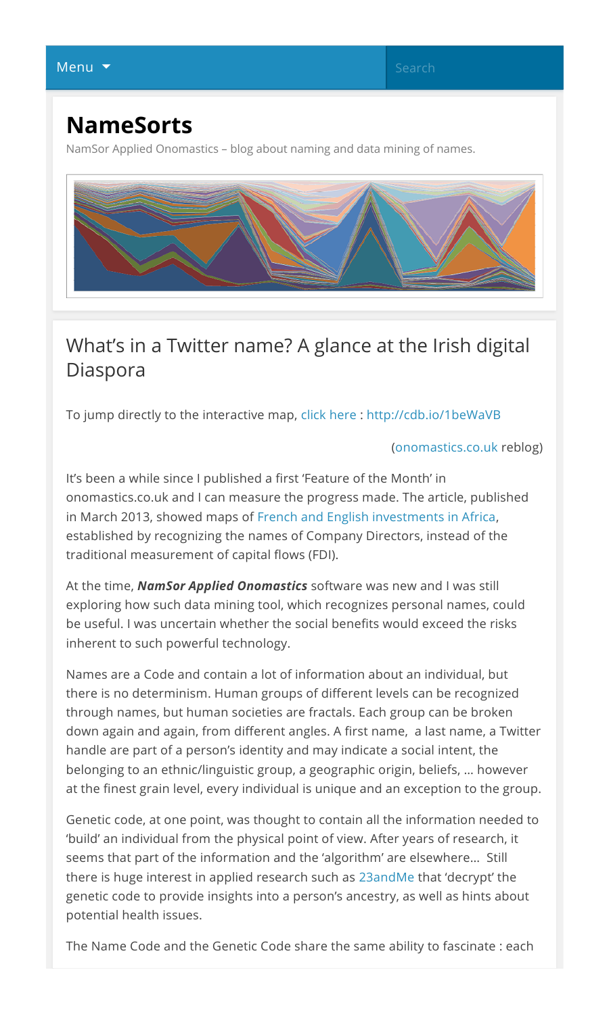## **NameSorts**

NamSor Applied Onomastics – blog about naming and data mining of names.



## What's in a Twitter name? A glance at the Irish digital Diaspora

To jump directly to the interactive map, click here : http://cdb.io/1beWaVB

(onomastics.co.uk reblog)

It's been a while since I published a first 'Feature of the Month' in onomastics.co.uk and I can measure the progress made. The article, published in March 2013, showed maps of French and English investments in Africa, established by recognizing the names of Company Directors, instead of the traditional measurement of capital flows (FDI).

At the time, *NamSor Applied Onomastics* software was new and I was still exploring how such data mining tool, which recognizes personal names, could be useful. I was uncertain whether the social benefits would exceed the risks inherent to such powerful technology.

Names are a Code and contain a lot of information about an individual, but there is no determinism. Human groups of different levels can be recognized through names, but human societies are fractals. Each group can be broken down again and again, from different angles. A first name, a last name, a Twitter handle are part of a person's identity and may indicate a social intent, the belonging to an ethnic/linguistic group, a geographic origin, beliefs, … however at the finest grain level, every individual is unique and an exception to the group.

Genetic code, at one point, was thought to contain all the information needed to 'build' an individual from the physical point of view. After years of research, it seems that part of the information and the 'algorithm' are elsewhere… Still there is huge interest in applied research such as 23andMe that 'decrypt' the genetic code to provide insights into a person's ancestry, as well as hints about potential health issues.

The Name Code and the Genetic Code share the same ability to fascinate : each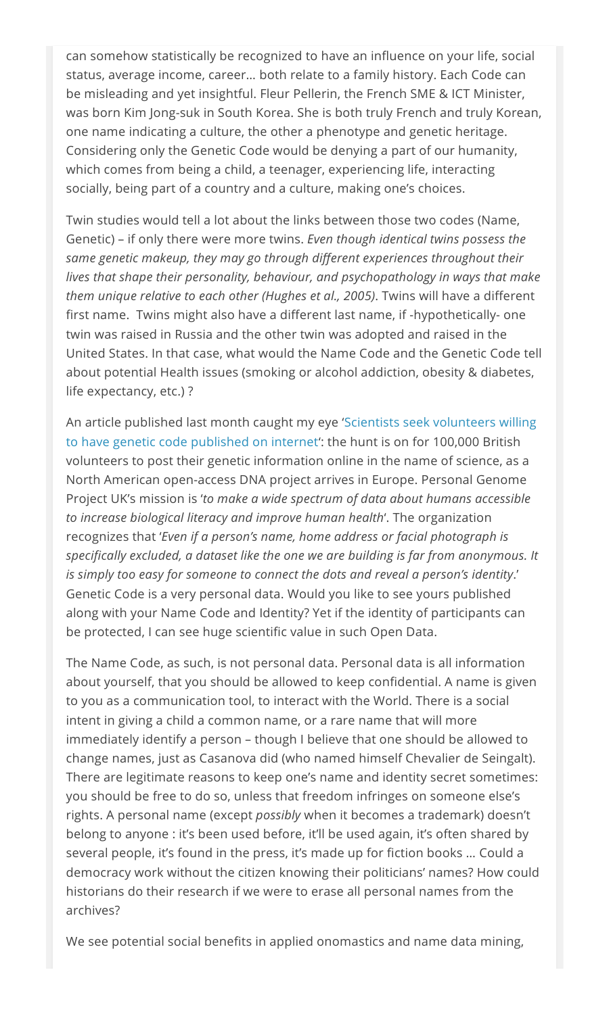can somehow statistically be recognized to have an influence on your life, social status, average income, career… both relate to a family history. Each Code can be misleading and yet insightful. Fleur Pellerin, the French SME & ICT Minister, was born Kim Jong-suk in South Korea. She is both truly French and truly Korean, one name indicating a culture, the other a phenotype and genetic heritage. Considering only the Genetic Code would be denying a part of our humanity, which comes from being a child, a teenager, experiencing life, interacting socially, being part of a country and a culture, making one's choices.

Twin studies would tell a lot about the links between those two codes (Name, Genetic) – if only there were more twins. *Even though identical twins possess the same genetic makeup, they may go through different experiences throughout their lives that shape their personality, behaviour, and psychopathology in ways that make them unique relative to each other (Hughes et al., 2005)*. Twins will have a different first name. Twins might also have a different last name, if -hypothetically- one twin was raised in Russia and the other twin was adopted and raised in the United States. In that case, what would the Name Code and the Genetic Code tell about potential Health issues (smoking or alcohol addiction, obesity & diabetes, life expectancy, etc.) ?

An article published last month caught my eye 'Scientists seek volunteers willing to have genetic code published on internet': the hunt is on for 100,000 British volunteers to post their genetic information online in the name of science, as a North American open-access DNA project arrives in Europe. Personal Genome Project UK's mission is '*to make a wide spectrum of data about humans accessible to increase biological literacy and improve human health*'. The organization recognizes that '*Even if a person's name, home address or facial photograph is specifically excluded, a dataset like the one we are building is far from anonymous. It is simply too easy for someone to connect the dots and reveal a person's identity*.' Genetic Code is a very personal data. Would you like to see yours published along with your Name Code and Identity? Yet if the identity of participants can be protected, I can see huge scientific value in such Open Data.

The Name Code, as such, is not personal data. Personal data is all information about yourself, that you should be allowed to keep confidential. A name is given to you as a communication tool, to interact with the World. There is a social intent in giving a child a common name, or a rare name that will more immediately identify a person – though I believe that one should be allowed to change names, just as Casanova did (who named himself Chevalier de Seingalt). There are legitimate reasons to keep one's name and identity secret sometimes: you should be free to do so, unless that freedom infringes on someone else's rights. A personal name (except *possibly* when it becomes a trademark) doesn't belong to anyone : it's been used before, it'll be used again, it's often shared by several people, it's found in the press, it's made up for fiction books … Could a democracy work without the citizen knowing their politicians' names? How could historians do their research if we were to erase all personal names from the archives?

We see potential social benefits in applied onomastics and name data mining,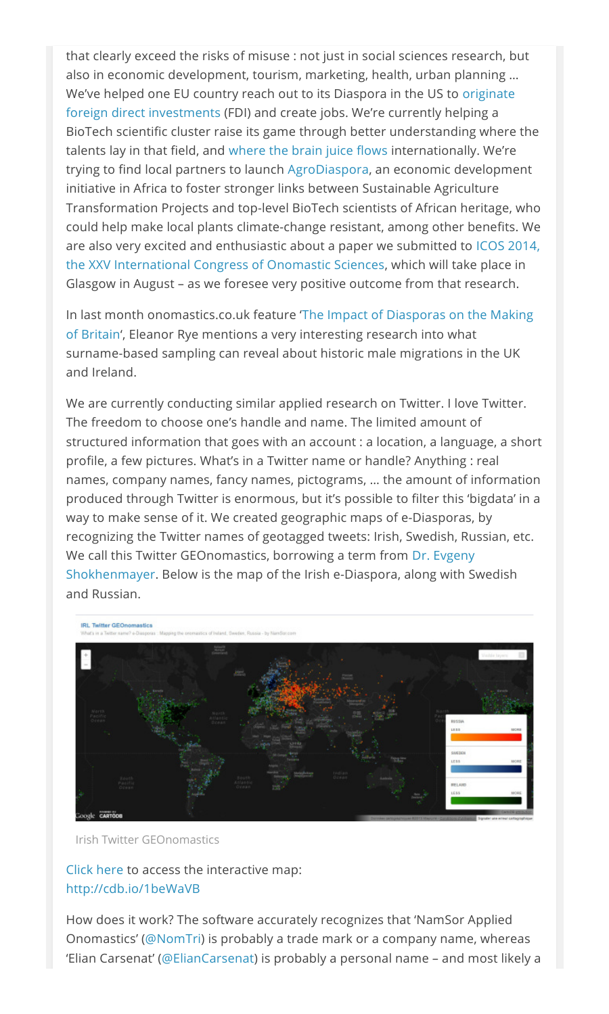that clearly exceed the risks of misuse : not just in social sciences research, but also in economic development, tourism, marketing, health, urban planning … We've helped one EU country reach out to its Diaspora in the US to originate foreign direct investments (FDI) and create jobs. We're currently helping a BioTech scientific cluster raise its game through better understanding where the talents lay in that field, and where the brain juice flows internationally. We're trying to find local partners to launch AgroDiaspora, an economic development initiative in Africa to foster stronger links between Sustainable Agriculture Transformation Projects and top-level BioTech scientists of African heritage, who could help make local plants climate-change resistant, among other benefits. We are also very excited and enthusiastic about a paper we submitted to ICOS 2014, the XXV International Congress of Onomastic Sciences, which will take place in Glasgow in August – as we foresee very positive outcome from that research.

In last month onomastics.co.uk feature 'The Impact of Diasporas on the Making of Britain', Eleanor Rye mentions a very interesting research into what surname-based sampling can reveal about historic male migrations in the UK and Ireland.

We are currently conducting similar applied research on Twitter. I love Twitter. The freedom to choose one's handle and name. The limited amount of structured information that goes with an account : a location, a language, a short profile, a few pictures. What's in a Twitter name or handle? Anything : real names, company names, fancy names, pictograms, … the amount of information produced through Twitter is enormous, but it's possible to filter this 'bigdata' in a way to make sense of it. We created geographic maps of e-Diasporas, by recognizing the Twitter names of geotagged tweets: Irish, Swedish, Russian, etc. We call this Twitter GEOnomastics, borrowing a term from Dr. Evgeny Shokhenmayer. Below is the map of the Irish e-Diaspora, along with Swedish and Russian.



Irish Twitter GEOnomastics

Click here to access the interactive map: http://cdb.io/1beWaVB

How does it work? The software accurately recognizes that 'NamSor Applied Onomastics' (@NomTri) is probably a trade mark or a company name, whereas 'Elian Carsenat' (@ElianCarsenat) is probably a personal name – and most likely a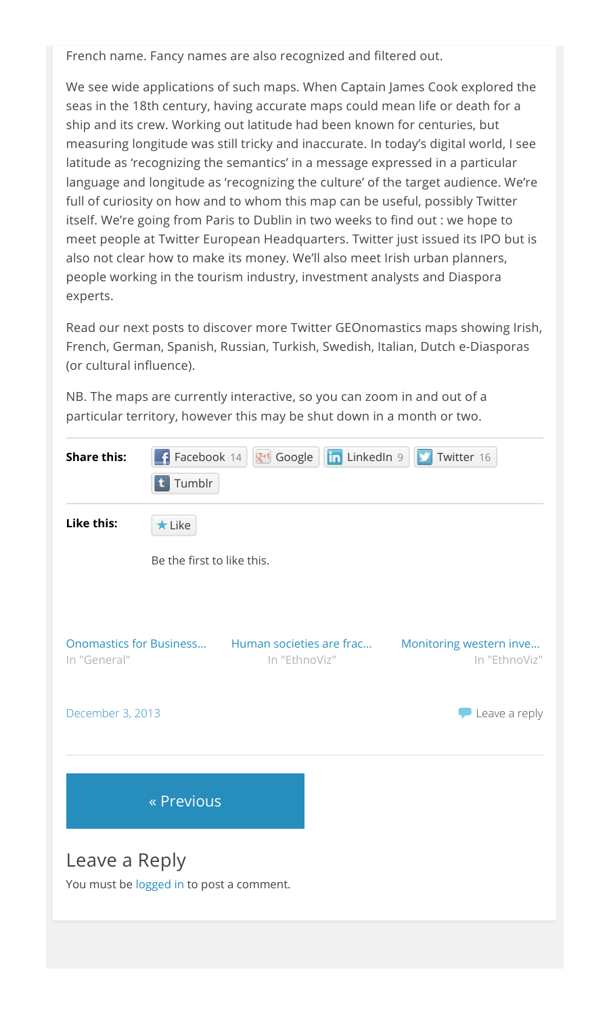French name. Fancy names are also recognized and filtered out.

We see wide applications of such maps. When Captain James Cook explored the seas in the 18th century, having accurate maps could mean life or death for a ship and its crew. Working out latitude had been known for centuries, but measuring longitude was still tricky and inaccurate. In today's digital world, I see latitude as 'recognizing the semantics' in a message expressed in a particular language and longitude as 'recognizing the culture' of the target audience. We're full of curiosity on how and to whom this map can be useful, possibly Twitter itself. We're going from Paris to Dublin in two weeks to find out : we hope to meet people at Twitter European Headquarters. Twitter just issued its IPO but is also not clear how to make its money. We'll also meet Irish urban planners, people working in the tourism industry, investment analysts and Diaspora experts.

Read our next posts to discover more Twitter GEOnomastics maps showing Irish, French, German, Spanish, Russian, Turkish, Swedish, Italian, Dutch e-Diasporas (or cultural influence).

NB. The maps are currently interactive, so you can zoom in and out of a particular territory, however this may be shut down in a month or two.

| <b>Share this:</b> | $\left  \mathbf{t} \right $ Tumblr       |                                           | Facebook 14   Til Google   in LinkedIn 9 | Twitter 16              |               |
|--------------------|------------------------------------------|-------------------------------------------|------------------------------------------|-------------------------|---------------|
| Like this:         | $\star$ Like                             |                                           |                                          |                         |               |
|                    | Be the first to like this.               |                                           |                                          |                         |               |
|                    |                                          |                                           |                                          |                         |               |
| In "General"       | <b>Onomastics for Business</b>           | Human societies are frac<br>In "EthnoViz" |                                          | Monitoring western inve | In "EthnoViz" |
| December 3, 2013   |                                          |                                           |                                          |                         | Leave a reply |
|                    | « Previous                               |                                           |                                          |                         |               |
| Leave a Reply      | You must be logged in to post a comment. |                                           |                                          |                         |               |
|                    |                                          |                                           |                                          |                         |               |